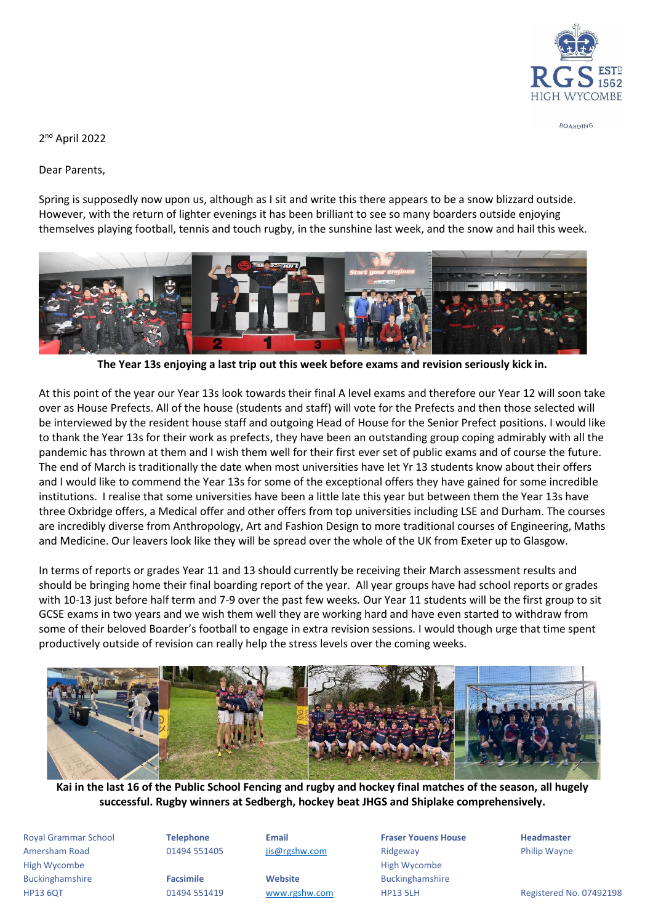

BOARDING

2 nd April 2022

Dear Parents,

Spring is supposedly now upon us, although as I sit and write this there appears to be a snow blizzard outside. However, with the return of lighter evenings it has been brilliant to see so many boarders outside enjoying themselves playing football, tennis and touch rugby, in the sunshine last week, and the snow and hail this week.



**The Year 13s enjoying a last trip out this week before exams and revision seriously kick in.**

At this point of the year our Year 13s look towards their final A level exams and therefore our Year 12 will soon take over as House Prefects. All of the house (students and staff) will vote for the Prefects and then those selected will be interviewed by the resident house staff and outgoing Head of House for the Senior Prefect positions. I would like to thank the Year 13s for their work as prefects, they have been an outstanding group coping admirably with all the pandemic has thrown at them and I wish them well for their first ever set of public exams and of course the future. The end of March is traditionally the date when most universities have let Yr 13 students know about their offers and I would like to commend the Year 13s for some of the exceptional offers they have gained for some incredible institutions. I realise that some universities have been a little late this year but between them the Year 13s have three Oxbridge offers, a Medical offer and other offers from top universities including LSE and Durham. The courses are incredibly diverse from Anthropology, Art and Fashion Design to more traditional courses of Engineering, Maths and Medicine. Our leavers look like they will be spread over the whole of the UK from Exeter up to Glasgow.

In terms of reports or grades Year 11 and 13 should currently be receiving their March assessment results and should be bringing home their final boarding report of the year. All year groups have had school reports or grades with 10-13 just before half term and 7-9 over the past few weeks*.* Our Year 11 students will be the first group to sit GCSE exams in two years and we wish them well they are working hard and have even started to withdraw from some of their beloved Boarder's football to engage in extra revision sessions. I would though urge that time spent productively outside of revision can really help the stress levels over the coming weeks.



**Kai in the last 16 of the Public School Fencing and rugby and hockey final matches of the season, all hugely successful. Rugby winners at Sedbergh, hockey beat JHGS and Shiplake comprehensively.**

Royal Grammar School **Telephone Email Fraser Youens House Headmaster** Amersham Road **1988 COMB** 1949 551405 **[jis@rgshw.com](mailto:jis@rgshw.com)** Ridgeway Philip Wayne High Wycombe **High Wycombe** High Wycombe **High Wycombe** High Wycombe **High Wycombe** Buckinghamshire **Facsimile Website** Buckinghamshire

HP13 6QT 61494 551419 [www.rgshw.com](http://www.rgshw.com/) HP13 5LH Registered No. 07492198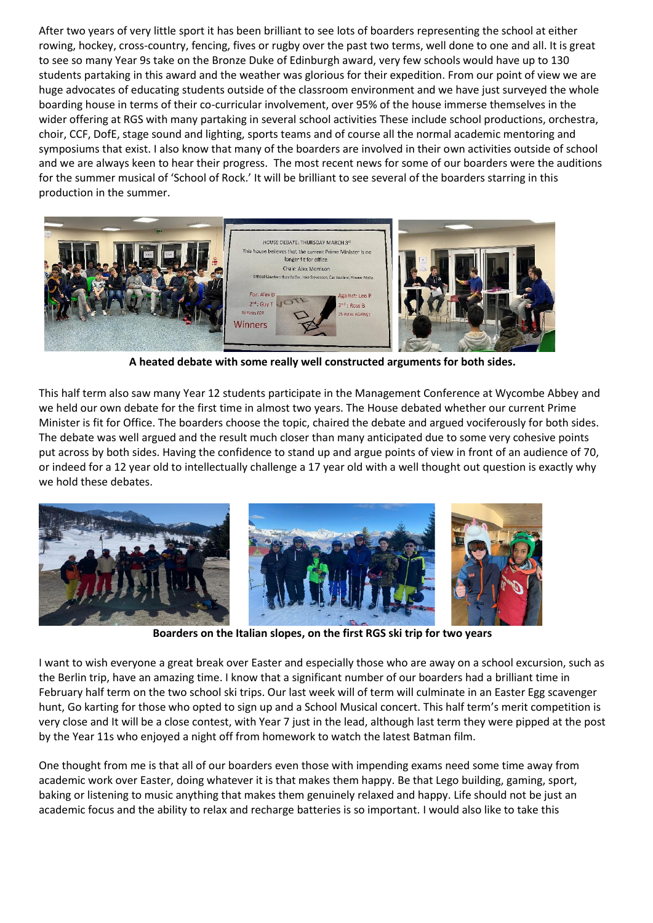After two years of very little sport it has been brilliant to see lots of boarders representing the school at either rowing, hockey, cross-country, fencing, fives or rugby over the past two terms, well done to one and all. It is great to see so many Year 9s take on the Bronze Duke of Edinburgh award, very few schools would have up to 130 students partaking in this award and the weather was glorious for their expedition. From our point of view we are huge advocates of educating students outside of the classroom environment and we have just surveyed the whole boarding house in terms of their co-curricular involvement, over 95% of the house immerse themselves in the wider offering at RGS with many partaking in several school activities These include school productions, orchestra, choir, CCF, DofE, stage sound and lighting, sports teams and of course all the normal academic mentoring and symposiums that exist. I also know that many of the boarders are involved in their own activities outside of school and we are always keen to hear their progress. The most recent news for some of our boarders were the auditions for the summer musical of 'School of Rock.' It will be brilliant to see several of the boarders starring in this production in the summer.



**A heated debate with some really well constructed arguments for both sides.**

This half term also saw many Year 12 students participate in the Management Conference at Wycombe Abbey and we held our own debate for the first time in almost two years. The House debated whether our current Prime Minister is fit for Office. The boarders choose the topic, chaired the debate and argued vociferously for both sides. The debate was well argued and the result much closer than many anticipated due to some very cohesive points put across by both sides. Having the confidence to stand up and argue points of view in front of an audience of 70, or indeed for a 12 year old to intellectually challenge a 17 year old with a well thought out question is exactly why we hold these debates.



**Boarders on the Italian slopes, on the first RGS ski trip for two years**

I want to wish everyone a great break over Easter and especially those who are away on a school excursion, such as the Berlin trip, have an amazing time. I know that a significant number of our boarders had a brilliant time in February half term on the two school ski trips. Our last week will of term will culminate in an Easter Egg scavenger hunt, Go karting for those who opted to sign up and a School Musical concert. This half term's merit competition is very close and It will be a close contest, with Year 7 just in the lead, although last term they were pipped at the post by the Year 11s who enjoyed a night off from homework to watch the latest Batman film.

One thought from me is that all of our boarders even those with impending exams need some time away from academic work over Easter, doing whatever it is that makes them happy. Be that Lego building, gaming, sport, baking or listening to music anything that makes them genuinely relaxed and happy. Life should not be just an academic focus and the ability to relax and recharge batteries is so important. I would also like to take this